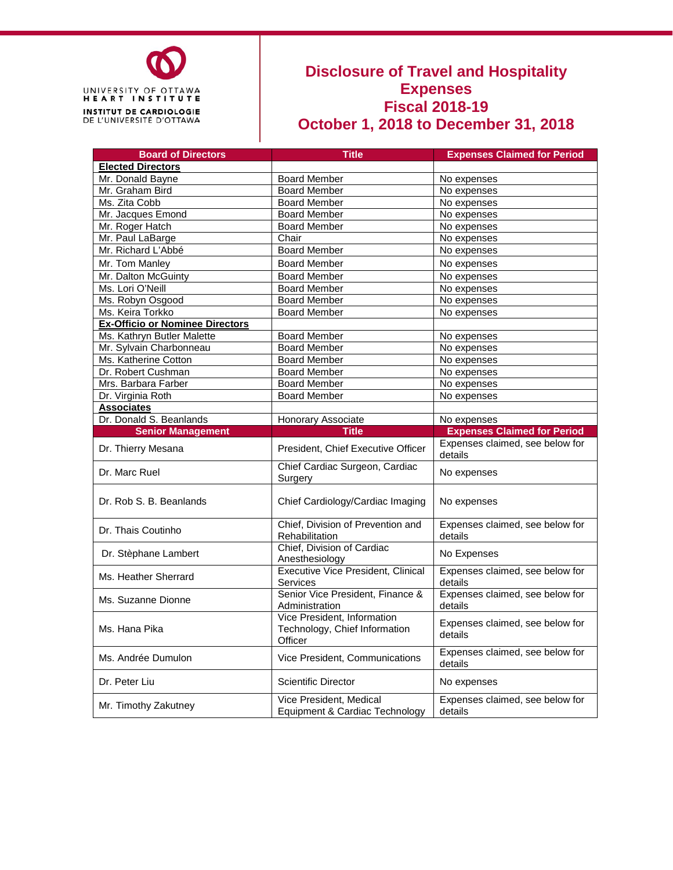

#### **Disclosure of Travel and Hospitality Expenses Fiscal 2018-19 October 1, 2018 to December 31, 2018**

| <b>Board of Directors</b>              | <b>Title</b>                                                            | <b>Expenses Claimed for Period</b>         |
|----------------------------------------|-------------------------------------------------------------------------|--------------------------------------------|
| <b>Elected Directors</b>               |                                                                         |                                            |
| Mr. Donald Bayne                       | <b>Board Member</b>                                                     | No expenses                                |
| Mr. Graham Bird                        | <b>Board Member</b>                                                     | No expenses                                |
| Ms. Zita Cobb                          | <b>Board Member</b>                                                     | No expenses                                |
| Mr. Jacques Emond                      | <b>Board Member</b>                                                     | No expenses                                |
| Mr. Roger Hatch                        | <b>Board Member</b>                                                     | No expenses                                |
| Mr. Paul LaBarge                       | Chair                                                                   | No expenses                                |
| Mr. Richard L'Abbé                     | <b>Board Member</b>                                                     | No expenses                                |
| Mr. Tom Manley                         | <b>Board Member</b>                                                     | No expenses                                |
| Mr. Dalton McGuinty                    | <b>Board Member</b>                                                     | No expenses                                |
| Ms. Lori O'Neill                       | <b>Board Member</b>                                                     | No expenses                                |
| Ms. Robyn Osgood                       | <b>Board Member</b>                                                     | No expenses                                |
| Ms. Keira Torkko                       | <b>Board Member</b>                                                     | No expenses                                |
| <b>Ex-Officio or Nominee Directors</b> |                                                                         |                                            |
| Ms. Kathryn Butler Malette             | <b>Board Member</b>                                                     | No expenses                                |
| Mr. Sylvain Charbonneau                | <b>Board Member</b>                                                     | No expenses                                |
| Ms. Katherine Cotton                   | <b>Board Member</b>                                                     | No expenses                                |
| Dr. Robert Cushman                     | <b>Board Member</b>                                                     | No expenses                                |
| Mrs. Barbara Farber                    | <b>Board Member</b>                                                     | No expenses                                |
| Dr. Virginia Roth                      | <b>Board Member</b>                                                     | No expenses                                |
| <b>Associates</b>                      |                                                                         |                                            |
| Dr. Donald S. Beanlands                | Honorary Associate                                                      | No expenses                                |
|                                        | <b>Title</b>                                                            | <b>Expenses Claimed for Period</b>         |
| <b>Senior Management</b>               |                                                                         |                                            |
| Dr. Thierry Mesana                     | President, Chief Executive Officer                                      | Expenses claimed, see below for<br>details |
| Dr. Marc Ruel                          | Chief Cardiac Surgeon, Cardiac<br>Surgery                               | No expenses                                |
| Dr. Rob S. B. Beanlands                | Chief Cardiology/Cardiac Imaging                                        | No expenses                                |
| Dr. Thais Coutinho                     | Chief, Division of Prevention and<br>Rehabilitation                     | Expenses claimed, see below for<br>details |
| Dr. Stèphane Lambert                   | Chief, Division of Cardiac<br>Anesthesiology                            | No Expenses                                |
| Ms. Heather Sherrard                   | <b>Executive Vice President, Clinical</b><br>Services                   | Expenses claimed, see below for<br>details |
| Ms. Suzanne Dionne                     | Senior Vice President, Finance &<br>Administration                      | Expenses claimed, see below for<br>details |
| Ms. Hana Pika                          | Vice President, Information<br>Technology, Chief Information<br>Officer | Expenses claimed, see below for<br>details |
| Ms. Andrée Dumulon                     | Vice President, Communications                                          | Expenses claimed, see below for<br>details |
| Dr. Peter Liu                          | <b>Scientific Director</b>                                              | No expenses                                |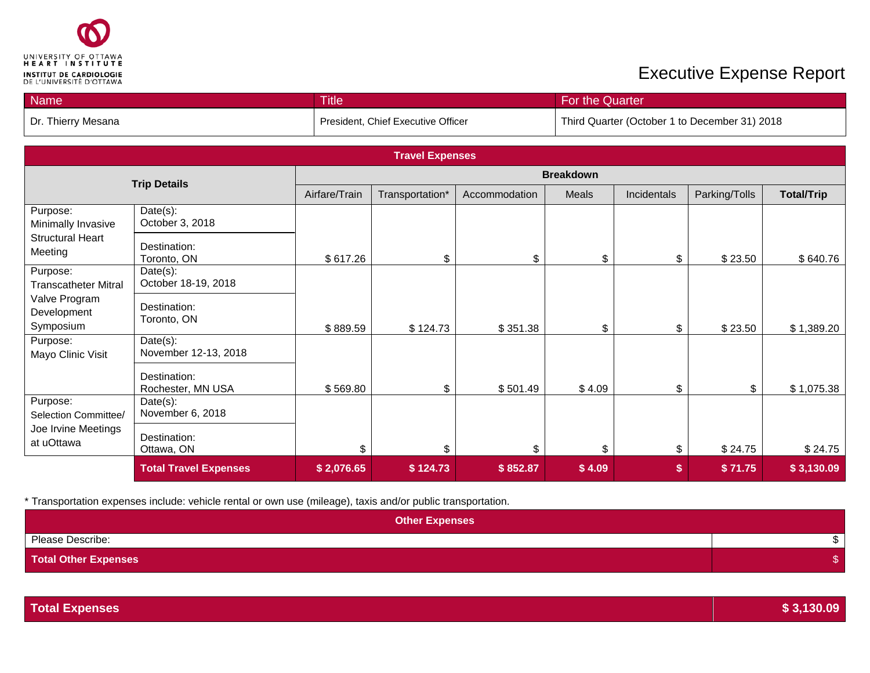

| <b>Name</b>        | <b>Title</b>                       | For the Quarter                               |
|--------------------|------------------------------------|-----------------------------------------------|
| Dr. Thierry Mesana | President, Chief Executive Officer | Third Quarter (October 1 to December 31) 2018 |

| <b>Travel Expenses</b>                    |                                   |                  |                 |               |        |             |               |                   |
|-------------------------------------------|-----------------------------------|------------------|-----------------|---------------|--------|-------------|---------------|-------------------|
|                                           | <b>Trip Details</b>               | <b>Breakdown</b> |                 |               |        |             |               |                   |
|                                           |                                   | Airfare/Train    | Transportation* | Accommodation | Meals  | Incidentals | Parking/Tolls | <b>Total/Trip</b> |
| Purpose:<br>Minimally Invasive            | Date(s):<br>October 3, 2018       |                  |                 |               |        |             |               |                   |
| <b>Structural Heart</b><br>Meeting        | Destination:<br>Toronto, ON       | \$617.26         | \$              | \$            | \$     | \$          | \$23.50       | \$640.76          |
| Purpose:<br><b>Transcatheter Mitral</b>   | Date(s):<br>October 18-19, 2018   |                  |                 |               |        |             |               |                   |
| Valve Program<br>Development<br>Symposium | Destination:<br>Toronto, ON       | \$889.59         | \$124.73        | \$351.38      | \$     | \$          | \$23.50       | \$1,389.20        |
| Purpose:<br>Mayo Clinic Visit             | Date(s):<br>November 12-13, 2018  |                  |                 |               |        |             |               |                   |
|                                           | Destination:<br>Rochester, MN USA | \$569.80         | \$              | \$501.49      | \$4.09 | \$          | \$            | \$1,075.38        |
| Purpose:<br>Selection Committee/          | Date(s):<br>November 6, 2018      |                  |                 |               |        |             |               |                   |
| Joe Irvine Meetings<br>at uOttawa         | Destination:<br>Ottawa, ON        | \$               | \$              | \$            | \$     | \$          | \$24.75       | \$24.75           |
|                                           | <b>Total Travel Expenses</b>      | \$2,076.65       | \$124.73        | \$852.87      | \$4.09 | \$          | \$71.75       | \$3,130.09        |

| <b>Other Expenses</b>       |  |
|-----------------------------|--|
| Please Describe:            |  |
| <b>Total Other Expenses</b> |  |

| <b>Total Expenses</b> | \$3,130.09 |
|-----------------------|------------|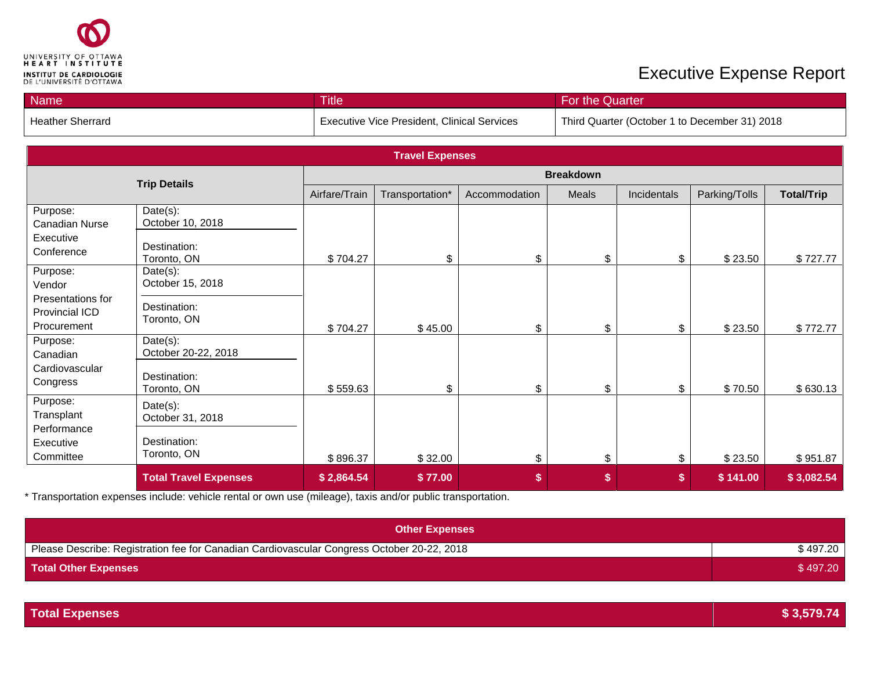

| <b>Name</b>      | <b>Title</b>                                       | For the Quarter                               |
|------------------|----------------------------------------------------|-----------------------------------------------|
| Heather Sherrard | <b>Executive Vice President, Clinical Services</b> | Third Quarter (October 1 to December 31) 2018 |

| <b>Travel Expenses</b>                             |                                 |                  |                 |               |       |             |               |                   |
|----------------------------------------------------|---------------------------------|------------------|-----------------|---------------|-------|-------------|---------------|-------------------|
| <b>Trip Details</b>                                |                                 | <b>Breakdown</b> |                 |               |       |             |               |                   |
|                                                    |                                 | Airfare/Train    | Transportation* | Accommodation | Meals | Incidentals | Parking/Tolls | <b>Total/Trip</b> |
| Purpose:<br>Canadian Nurse                         | $Date(s)$ :<br>October 10, 2018 |                  |                 |               |       |             |               |                   |
| Executive<br>Conference                            | Destination:<br>Toronto, ON     | \$704.27         | \$              | \$            | \$    | \$          | \$23.50       | \$727.77          |
| Purpose:<br>Vendor                                 | Date(s):<br>October 15, 2018    |                  |                 |               |       |             |               |                   |
| Presentations for<br>Provincial ICD<br>Procurement | Destination:<br>Toronto, ON     | \$704.27         | \$45.00         | \$            | \$    | \$          | \$23.50       | \$772.77          |
| Purpose:<br>Canadian                               | Date(s):<br>October 20-22, 2018 |                  |                 |               |       |             |               |                   |
| Cardiovascular<br>Congress                         | Destination:<br>Toronto, ON     | \$559.63         | \$              | \$            | \$    | \$          | \$70.50       | \$630.13          |
| Purpose:<br>Transplant<br>Performance              | Date(s):<br>October 31, 2018    |                  |                 |               |       |             |               |                   |
| Executive<br>Committee                             | Destination:<br>Toronto, ON     | \$896.37         | \$32.00         | \$            | \$    | \$          | \$23.50       | \$951.87          |
|                                                    | <b>Total Travel Expenses</b>    | \$2,864.54       | \$77.00         | \$            | \$    | \$          | \$141.00      | \$3,082.54        |

| <b>Other Expenses</b>                                                                      |          |
|--------------------------------------------------------------------------------------------|----------|
| Please Describe: Registration fee for Canadian Cardiovascular Congress October 20-22, 2018 | \$497.20 |
| <b>Total Other Expenses</b>                                                                | \$497.20 |

| <b>Total Expenses</b> | \$3,579.74 |
|-----------------------|------------|
|-----------------------|------------|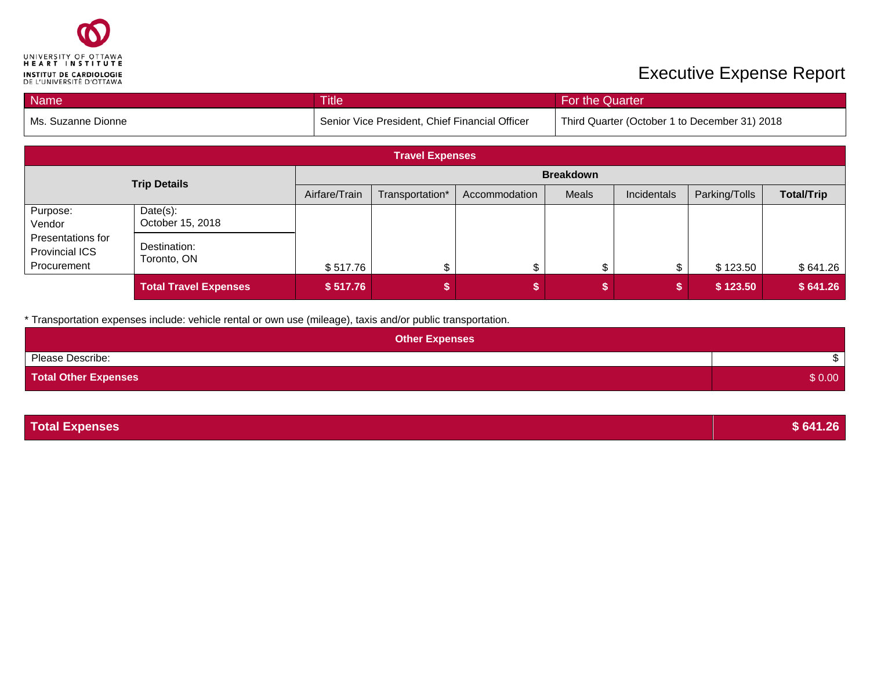

| <b>Name</b>        | <b>Title</b>                                   | For the Quarter                               |
|--------------------|------------------------------------------------|-----------------------------------------------|
| Ms. Suzanne Dionne | Senior Vice President, Chief Financial Officer | Third Quarter (October 1 to December 31) 2018 |

| <b>Travel Expenses</b>                             |                              |               |                  |               |       |             |               |                   |
|----------------------------------------------------|------------------------------|---------------|------------------|---------------|-------|-------------|---------------|-------------------|
| <b>Trip Details</b>                                |                              |               | <b>Breakdown</b> |               |       |             |               |                   |
|                                                    |                              | Airfare/Train | Transportation*  | Accommodation | Meals | Incidentals | Parking/Tolls | <b>Total/Trip</b> |
| Purpose:<br>Vendor                                 | Date(s):<br>October 15, 2018 |               |                  |               |       |             |               |                   |
| Presentations for<br>Provincial ICS<br>Procurement | Destination:<br>Toronto, ON  | \$517.76      | \$               |               |       |             | \$123.50      | \$641.26          |
|                                                    | <b>Total Travel Expenses</b> | \$517.76      |                  |               |       |             | \$123.50      | \$641.26          |

| <b>Other Expenses</b>       |        |
|-----------------------------|--------|
| Please Describe:            |        |
| <b>Total Other Expenses</b> | \$0.00 |

| <b>Total Expenses</b> | \$641.26 |
|-----------------------|----------|
|                       |          |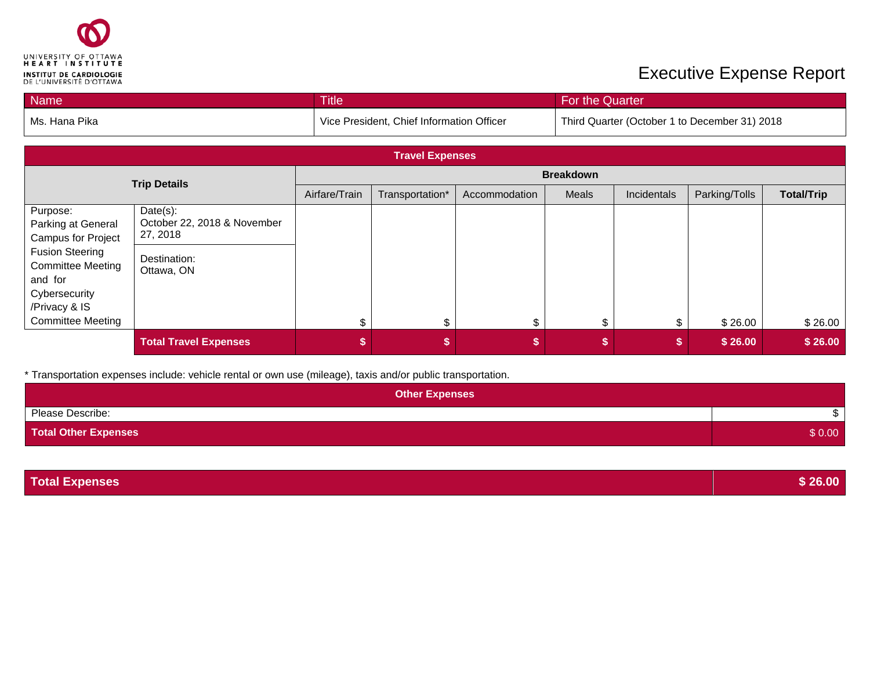

| Name          | <b>Title</b>                              | For the Quarter                               |
|---------------|-------------------------------------------|-----------------------------------------------|
| Ms. Hana Pika | Vice President, Chief Information Officer | Third Quarter (October 1 to December 31) 2018 |

| <b>Travel Expenses</b>                                                                          |                                                     |               |                  |               |       |             |               |                   |
|-------------------------------------------------------------------------------------------------|-----------------------------------------------------|---------------|------------------|---------------|-------|-------------|---------------|-------------------|
| <b>Trip Details</b>                                                                             |                                                     |               | <b>Breakdown</b> |               |       |             |               |                   |
|                                                                                                 |                                                     | Airfare/Train | Transportation*  | Accommodation | Meals | Incidentals | Parking/Tolls | <b>Total/Trip</b> |
| Purpose:<br>Parking at General<br><b>Campus for Project</b>                                     | Date(s):<br>October 22, 2018 & November<br>27, 2018 |               |                  |               |       |             |               |                   |
| <b>Fusion Steering</b><br><b>Committee Meeting</b><br>and for<br>Cybersecurity<br>/Privacy & IS | Destination:<br>Ottawa, ON                          |               |                  |               |       |             |               |                   |
| <b>Committee Meeting</b>                                                                        |                                                     |               | \$               | \$            |       |             | \$26.00       | \$26.00           |
|                                                                                                 | <b>Total Travel Expenses</b>                        |               | \$               |               |       |             | \$26.00       | \$26.00           |

\* Transportation expenses include: vehicle rental or own use (mileage), taxis and/or public transportation.

| <b>Other Expenses</b>       |        |
|-----------------------------|--------|
| Please Describe:            |        |
| <b>Total Other Expenses</b> | \$0.00 |

**Total Expenses \$ 26.00**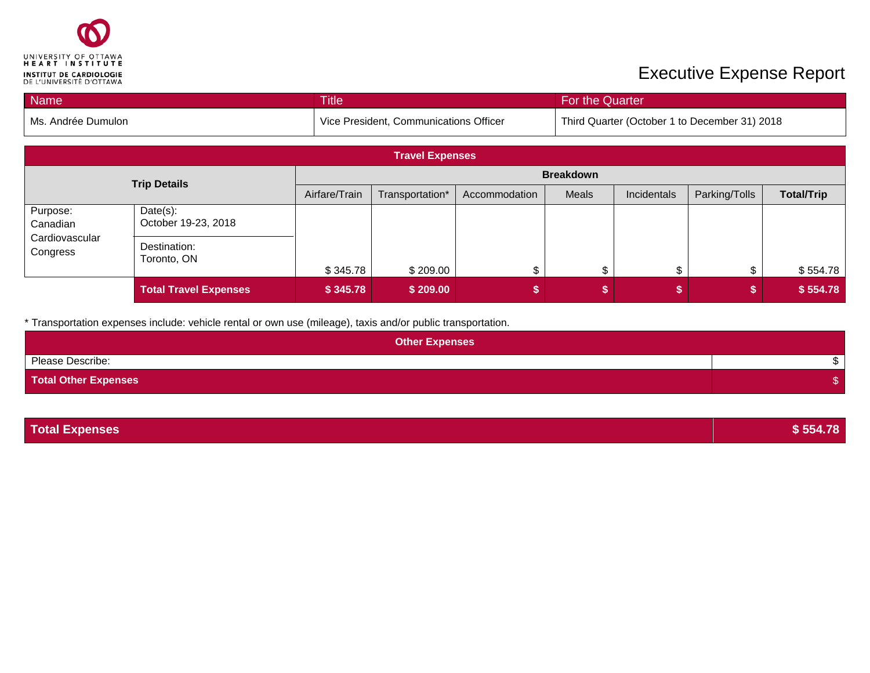

| <b>Name</b>          | <b>Title</b>                                        | For the Quarter                               |
|----------------------|-----------------------------------------------------|-----------------------------------------------|
| l Ms. Andrée Dumulon | <sup>1</sup> Vice President, Communications Officer | Third Quarter (October 1 to December 31) 2018 |

| <b>Travel Expenses</b>     |                                 |                                                   |                  |  |       |             |               |                   |
|----------------------------|---------------------------------|---------------------------------------------------|------------------|--|-------|-------------|---------------|-------------------|
| <b>Trip Details</b>        |                                 |                                                   | <b>Breakdown</b> |  |       |             |               |                   |
|                            |                                 | Airfare/Train<br>Transportation*<br>Accommodation |                  |  | Meals | Incidentals | Parking/Tolls | <b>Total/Trip</b> |
| Purpose:<br>Canadian       | Date(s):<br>October 19-23, 2018 |                                                   |                  |  |       |             |               |                   |
| Cardiovascular<br>Congress | Destination:<br>Toronto, ON     | \$345.78                                          | \$209.00         |  |       |             |               | \$554.78          |
|                            | <b>Total Travel Expenses</b>    | \$345.78                                          | \$209.00         |  |       |             |               | \$554.78          |

| <b>Other Expenses</b>       |  |
|-----------------------------|--|
| Please Describe:            |  |
| <b>Total Other Expenses</b> |  |

| <b>Total Expenses</b> | \$554.78 |
|-----------------------|----------|
|-----------------------|----------|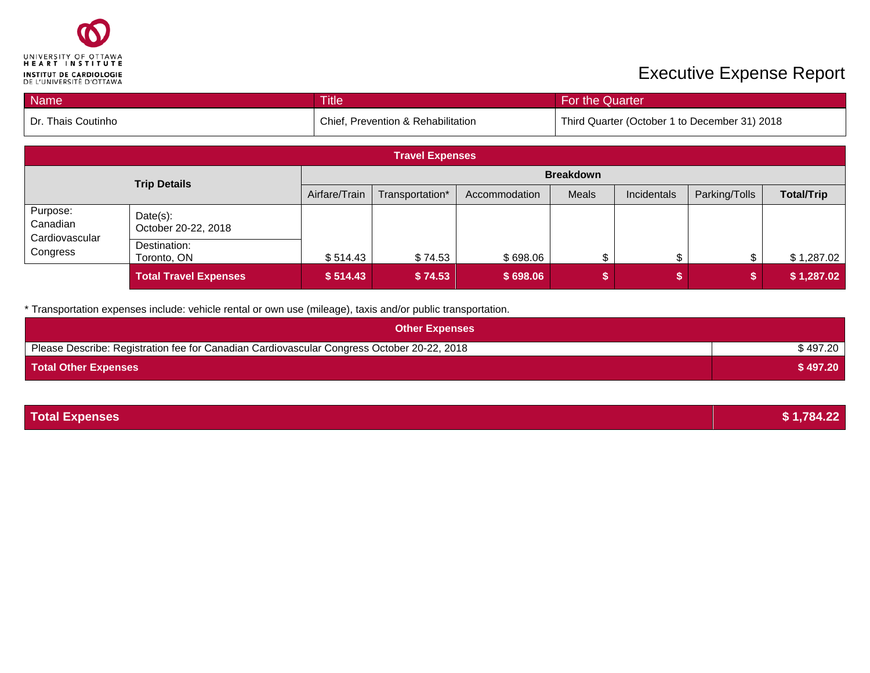

| <b>Name</b>          | <b>Title</b>                       | For the Quarter                               |
|----------------------|------------------------------------|-----------------------------------------------|
| l Dr. Thais Coutinho | Chief, Prevention & Rehabilitation | Third Quarter (October 1 to December 31) 2018 |

| <b>Travel Expenses</b>     |                                    |               |                  |               |       |             |               |                   |
|----------------------------|------------------------------------|---------------|------------------|---------------|-------|-------------|---------------|-------------------|
| <b>Trip Details</b>        |                                    |               | <b>Breakdown</b> |               |       |             |               |                   |
|                            |                                    | Airfare/Train | Transportation*  | Accommodation | Meals | Incidentals | Parking/Tolls | <b>Total/Trip</b> |
| Purpose:<br>Canadian       | $Date(s)$ :<br>October 20-22, 2018 |               |                  |               |       |             |               |                   |
| Cardiovascular<br>Congress | Destination:<br>Toronto, ON        | \$514.43      | \$74.53          | \$698.06      |       |             | \$.           | \$1,287.02        |
|                            | <b>Total Travel Expenses</b>       | \$514.43      | \$74.53          | \$698.06      |       |             |               | \$1,287.02        |

| <b>Other Expenses</b>                                                                      |          |
|--------------------------------------------------------------------------------------------|----------|
| Please Describe: Registration fee for Canadian Cardiovascular Congress October 20-22, 2018 | \$497.20 |
| <b>Total Other Expenses</b>                                                                | \$497.20 |